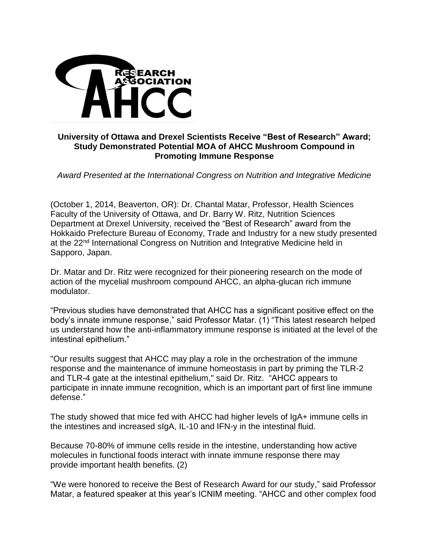

## **University of Ottawa and Drexel Scientists Receive "Best of Research" Award; Study Demonstrated Potential MOA of AHCC Mushroom Compound in Promoting Immune Response**

*Award Presented at the International Congress on Nutrition and Integrative Medicine*

(October 1, 2014, Beaverton, OR): Dr. Chantal Matar, Professor, Health Sciences Faculty of the University of Ottawa, and Dr. Barry W. Ritz, Nutrition Sciences Department at Drexel University, received the "Best of Research" award from the Hokkaido Prefecture Bureau of Economy, Trade and Industry for a new study presented at the 22<sup>nd</sup> International Congress on Nutrition and Integrative Medicine held in Sapporo, Japan.

Dr. Matar and Dr. Ritz were recognized for their pioneering research on the mode of action of the mycelial mushroom compound AHCC, an alpha-glucan rich immune modulator.

"Previous studies have demonstrated that AHCC has a significant positive effect on the body's innate immune response," said Professor Matar. (1) "This latest research helped us understand how the anti-inflammatory immune response is initiated at the level of the intestinal epithelium."

"Our results suggest that AHCC may play a role in the orchestration of the immune response and the maintenance of immune homeostasis in part by priming the TLR-2 and TLR-4 gate at the intestinal epithelium," said Dr. Ritz. "AHCC appears to participate in innate immune recognition, which is an important part of first line immune defense."

The study showed that mice fed with AHCC had higher levels of IgA+ immune cells in the intestines and increased sIgA, IL-10 and IFN-y in the intestinal fluid.

Because 70-80% of immune cells reside in the intestine, understanding how active molecules in functional foods interact with innate immune response there may provide important health benefits. (2)

"We were honored to receive the Best of Research Award for our study," said Professor Matar, a featured speaker at this year's ICNIM meeting. "AHCC and other complex food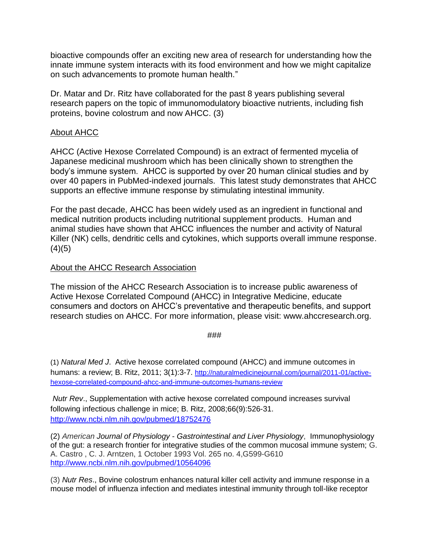bioactive compounds offer an exciting new area of research for understanding how the innate immune system interacts with its food environment and how we might capitalize on such advancements to promote human health."

Dr. Matar and Dr. Ritz have collaborated for the past 8 years publishing several research papers on the topic of immunomodulatory bioactive nutrients, including fish proteins, bovine colostrum and now AHCC. (3)

## About AHCC

AHCC (Active Hexose Correlated Compound) is an extract of fermented mycelia of Japanese medicinal mushroom which has been clinically shown to strengthen the body's immune system. AHCC is supported by over 20 human clinical studies and by over 40 papers in PubMed-indexed journals. This latest study demonstrates that AHCC supports an effective immune response by stimulating intestinal immunity.

For the past decade, AHCC has been widely used as an ingredient in functional and medical nutrition products including nutritional supplement products. Human and animal studies have shown that AHCC influences the number and activity of Natural Killer (NK) cells, dendritic cells and cytokines, which supports overall immune response.  $(4)(5)$ 

## About the AHCC Research Association

The mission of the AHCC Research Association is to increase public awareness of Active Hexose Correlated Compound (AHCC) in Integrative Medicine, educate consumers and doctors on AHCC's preventative and therapeutic benefits, and support research studies on AHCC. For more information, please visit: www.ahccresearch.org.

## ###

(1) *Natural Med J*. Active hexose correlated compound (AHCC) and immune outcomes in humans: a review; B. Ritz, 2011; 3(1):3-7. [http://naturalmedicinejournal.com/journal/2011-01/active](http://naturalmedicinejournal.com/journal/2011-01/active-hexose-correlated-compound-ahcc-and-immune-outcomes-humans-review)[hexose-correlated-compound-ahcc-and-immune-outcomes-humans-review](http://naturalmedicinejournal.com/journal/2011-01/active-hexose-correlated-compound-ahcc-and-immune-outcomes-humans-review)

*Nutr Rev*., Supplementation with active hexose correlated compound increases survival following infectious challenge in mice; B. Ritz, 2008;66(9):526-31. <http://www.ncbi.nlm.nih.gov/pubmed/18752476>

(2) *American Journal of Physiology* - *Gastrointestinal and Liver Physiology*, Immunophysiology of the gut: a research frontier for integrative studies of the common mucosal immune system; G. A. Castro , C. J. Arntzen, 1 October 1993 Vol. 265 no. 4,G599-G610 <http://www.ncbi.nlm.nih.gov/pubmed/10564096>

(3) *Nutr Res*., Bovine colostrum enhances natural killer cell activity and immune response in a mouse model of influenza infection and mediates intestinal immunity through toll-like receptor